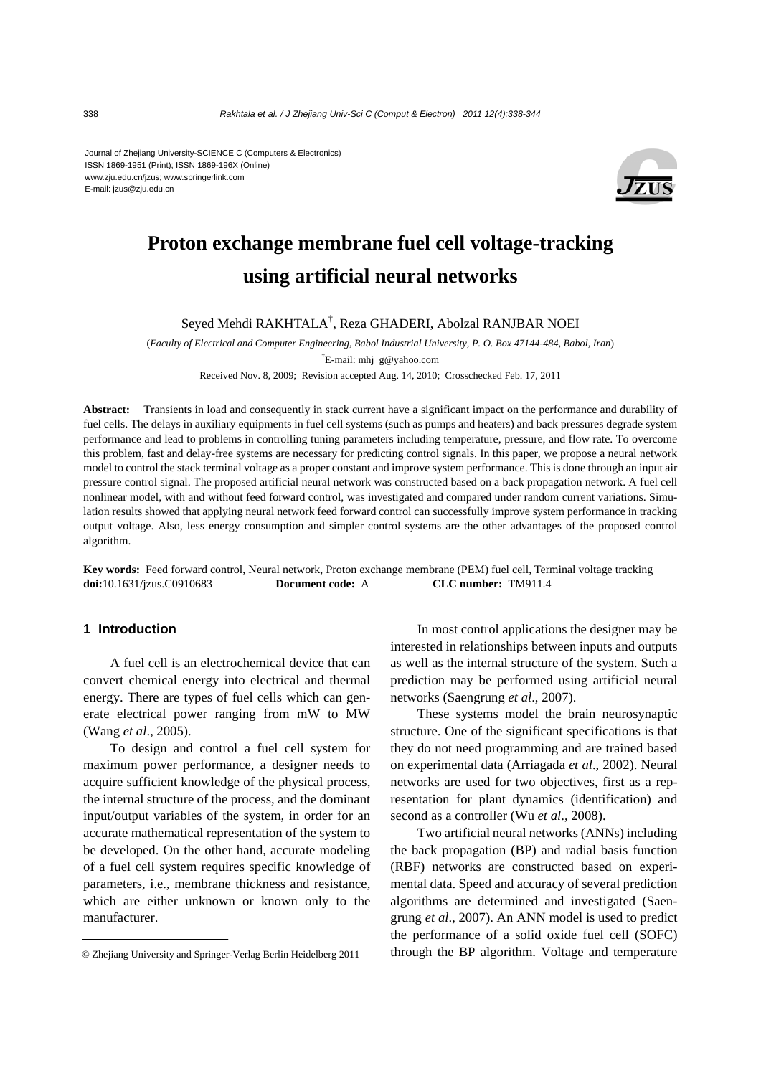Journal of Zhejiang University-SCIENCE C (Computers & Electronics) ISSN 1869-1951 (Print); ISSN 1869-196X (Online) www.zju.edu.cn/jzus; www.springerlink.com E-mail: jzus@zju.edu.cn



# **Proton exchange membrane fuel cell voltage-tracking using artificial neural networks**

Seyed Mehdi RAKHTALA† , Reza GHADERI, Abolzal RANJBAR NOEI

(*Faculty of Electrical and Computer Engineering, Babol Industrial University, P. O. Box 47144-484, Babol, Iran*) † E-mail: mhj\_g@yahoo.com

Received Nov. 8, 2009; Revision accepted Aug. 14, 2010; Crosschecked Feb. 17, 2011

**Abstract:** Transients in load and consequently in stack current have a significant impact on the performance and durability of fuel cells. The delays in auxiliary equipments in fuel cell systems (such as pumps and heaters) and back pressures degrade system performance and lead to problems in controlling tuning parameters including temperature, pressure, and flow rate. To overcome this problem, fast and delay-free systems are necessary for predicting control signals. In this paper, we propose a neural network model to control the stack terminal voltage as a proper constant and improve system performance. This is done through an input air pressure control signal. The proposed artificial neural network was constructed based on a back propagation network. A fuel cell nonlinear model, with and without feed forward control, was investigated and compared under random current variations. Simulation results showed that applying neural network feed forward control can successfully improve system performance in tracking output voltage. Also, less energy consumption and simpler control systems are the other advantages of the proposed control algorithm.

**Key words:** Feed forward control, Neural network, Proton exchange membrane (PEM) fuel cell, Terminal voltage tracking **doi:**10.1631/jzus.C0910683 **Document code:** A **CLC number:** TM911.4

#### **1 Introduction**

A fuel cell is an electrochemical device that can convert chemical energy into electrical and thermal energy. There are types of fuel cells which can generate electrical power ranging from mW to MW (Wang *et al*., 2005).

To design and control a fuel cell system for maximum power performance, a designer needs to acquire sufficient knowledge of the physical process, the internal structure of the process, and the dominant input/output variables of the system, in order for an accurate mathematical representation of the system to be developed. On the other hand, accurate modeling of a fuel cell system requires specific knowledge of parameters, i.e., membrane thickness and resistance, which are either unknown or known only to the manufacturer.

In most control applications the designer may be interested in relationships between inputs and outputs as well as the internal structure of the system. Such a prediction may be performed using artificial neural networks (Saengrung *et al*., 2007).

These systems model the brain neurosynaptic structure. One of the significant specifications is that they do not need programming and are trained based on experimental data (Arriagada *et al*., 2002). Neural networks are used for two objectives, first as a representation for plant dynamics (identification) and second as a controller (Wu *et al*., 2008).

Two artificial neural networks (ANNs) including the back propagation (BP) and radial basis function (RBF) networks are constructed based on experimental data. Speed and accuracy of several prediction algorithms are determined and investigated (Saengrung *et al*., 2007). An ANN model is used to predict the performance of a solid oxide fuel cell (SOFC) through the BP algorithm. Voltage and temperature

<sup>©</sup> Zhejiang University and Springer-Verlag Berlin Heidelberg 2011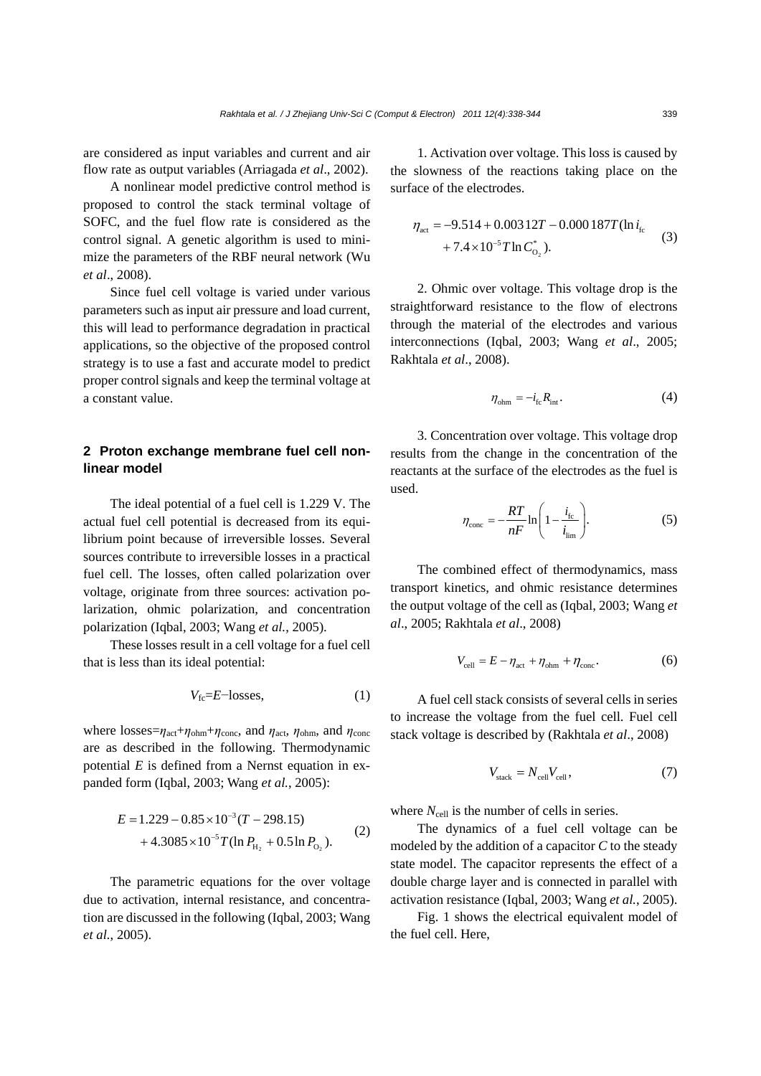are considered as input variables and current and air flow rate as output variables (Arriagada *et al*., 2002).

A nonlinear model predictive control method is proposed to control the stack terminal voltage of SOFC, and the fuel flow rate is considered as the control signal. A genetic algorithm is used to minimize the parameters of the RBF neural network (Wu *et al*., 2008).

Since fuel cell voltage is varied under various parameters such as input air pressure and load current, this will lead to performance degradation in practical applications, so the objective of the proposed control strategy is to use a fast and accurate model to predict proper control signals and keep the terminal voltage at a constant value.

#### **2 Proton exchange membrane fuel cell nonlinear model**

The ideal potential of a fuel cell is 1.229 V. The actual fuel cell potential is decreased from its equilibrium point because of irreversible losses. Several sources contribute to irreversible losses in a practical fuel cell. The losses, often called polarization over voltage, originate from three sources: activation polarization, ohmic polarization, and concentration polarization (Iqbal, 2003; Wang *et al.*, 2005).

These losses result in a cell voltage for a fuel cell that is less than its ideal potential:

$$
V_{\text{fc}} = E - \text{losses},\tag{1}
$$

where  $losses = \eta_{act} + \eta_{ohm} + \eta_{conc}$ , and  $\eta_{act}$ ,  $\eta_{ohm}$ , and  $\eta_{conc}$ are as described in the following. Thermodynamic potential *E* is defined from a Nernst equation in expanded form (Iqbal, 2003; Wang *et al.*, 2005):

$$
E = 1.229 - 0.85 \times 10^{-3} (T - 298.15)
$$
  
+ 4.3085 × 10<sup>-5</sup> T (ln P<sub>H<sub>2</sub></sub> + 0.5 ln P<sub>O<sub>2</sub></sub>). (2)

The parametric equations for the over voltage due to activation, internal resistance, and concentration are discussed in the following (Iqbal, 2003; Wang *et al.*, 2005).

1. Activation over voltage. This loss is caused by the slowness of the reactions taking place on the surface of the electrodes.

$$
\eta_{\text{act}} = -9.514 + 0.00312T - 0.000187T(\ln i_{\text{fc}}+7.4 \times 10^{-5}T \ln C_{\text{O}_2}^*).
$$
 (3)

2. Ohmic over voltage. This voltage drop is the straightforward resistance to the flow of electrons through the material of the electrodes and various interconnections (Iqbal, 2003; Wang *et al*., 2005; Rakhtala *et al*., 2008).

$$
\eta_{\text{ohm}} = -i_{\text{fc}} R_{\text{int}}.\tag{4}
$$

3. Concentration over voltage. This voltage drop results from the change in the concentration of the reactants at the surface of the electrodes as the fuel is used.

$$
\eta_{\text{conc}} = -\frac{RT}{nF} \ln \left( 1 - \frac{i_{\text{fc}}}{i_{\text{lim}}} \right). \tag{5}
$$

The combined effect of thermodynamics, mass transport kinetics, and ohmic resistance determines the output voltage of the cell as (Iqbal, 2003; Wang *et al*., 2005; Rakhtala *et al*., 2008)

$$
V_{\text{cell}} = E - \eta_{\text{act}} + \eta_{\text{ohm}} + \eta_{\text{conc}}.\tag{6}
$$

A fuel cell stack consists of several cells in series to increase the voltage from the fuel cell. Fuel cell stack voltage is described by (Rakhtala *et al*., 2008)

$$
V_{\text{stack}} = N_{\text{cell}} V_{\text{cell}},\tag{7}
$$

where  $N_{cell}$  is the number of cells in series.

The dynamics of a fuel cell voltage can be modeled by the addition of a capacitor *C* to the steady state model. The capacitor represents the effect of a double charge layer and is connected in parallel with activation resistance (Iqbal, 2003; Wang *et al.*, 2005).

Fig. 1 shows the electrical equivalent model of the fuel cell. Here,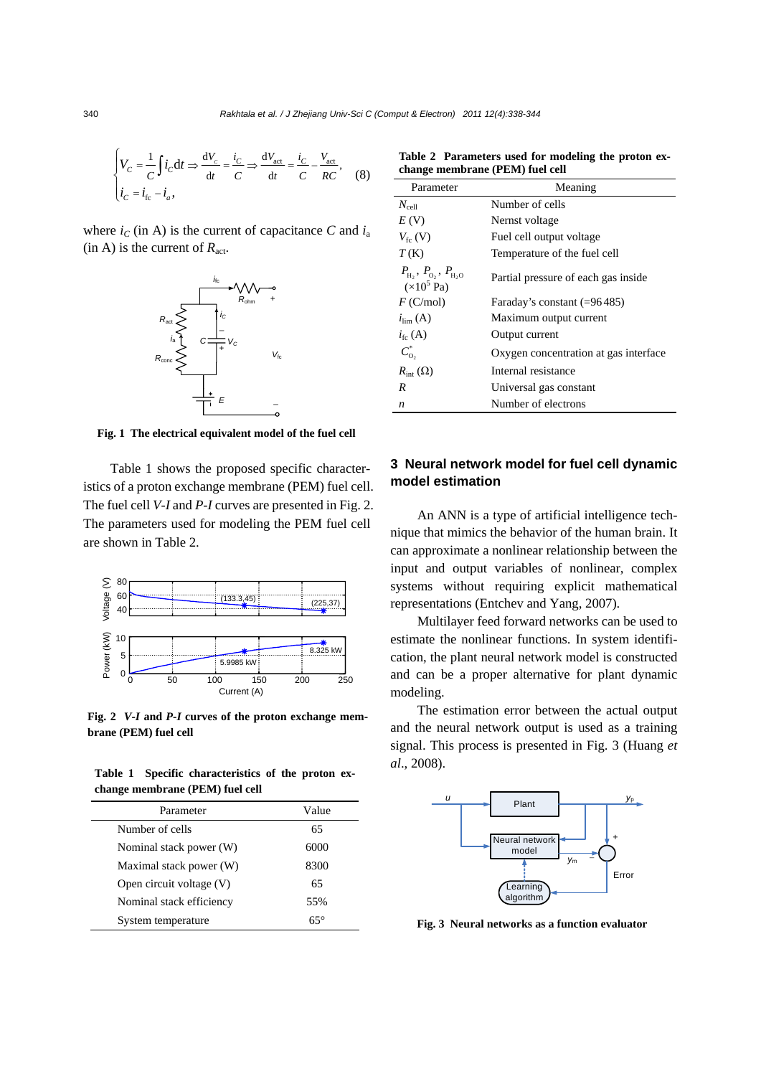$$
\begin{cases}\nV_C = \frac{1}{C} \int i_C dt \Rightarrow \frac{dV_c}{dt} = \frac{i_C}{C} \Rightarrow \frac{dV_{\text{act}}}{dt} = \frac{i_C}{C} - \frac{V_{\text{act}}}{RC}, \\
i_C = i_{\text{fc}} - i_a,\n\end{cases} \tag{8}
$$

where  $i_C$  (in A) is the current of capacitance *C* and  $i_a$  $(in A)$  is the current of  $R_{act}$ .



**Fig. 1 The electrical equivalent model of the fuel cell**

Table 1 shows the proposed specific characteristics of a proton exchange membrane (PEM) fuel cell. The fuel cell *V*-*I* and *P*-*I* curves are presented in Fig. 2. The parameters used for modeling the PEM fuel cell are shown in Table 2.



**Fig. 2** *V***-***I* **and** *P***-***I* **curves of the proton exchange membrane (PEM) fuel cell** 

Table 1 Specific characteristics of the proton ex-<br>  $al., 2008$ ). **change membrane (PEM) fuel cell**

| Parameter                | Value |
|--------------------------|-------|
| Number of cells          | 65    |
| Nominal stack power (W)  | 6000  |
| Maximal stack power (W)  | 8300  |
| Open circuit voltage (V) | 65    |
| Nominal stack efficiency | 55%   |
| System temperature       | 65°   |

**Table 2 Parameters used for modeling the proton exchange membrane (PEM) fuel cell**

| Parameter                                                          | Meaning                               |
|--------------------------------------------------------------------|---------------------------------------|
| $N_{\rm cell}$                                                     | Number of cells                       |
| E(V)                                                               | Nernst voltage                        |
| $V_{\text{fc}}$ (V)                                                | Fuel cell output voltage              |
| T(K)                                                               | Temperature of the fuel cell          |
| $P_{\rm H}$ , $P_{\rm O_2}$ , $P_{\rm H_2O}$<br>$(\times 10^5$ Pa) | Partial pressure of each gas inside   |
| $F$ (C/mol)                                                        | Faraday's constant (=96485)           |
| $i_{\text{lim}}(A)$                                                | Maximum output current                |
| $i_{\rm fc}(A)$                                                    | Output current                        |
| $C_{O_2}^*$                                                        | Oxygen concentration at gas interface |
| $R_{\rm int}(\Omega)$                                              | Internal resistance                   |
| R                                                                  | Universal gas constant                |
| $\boldsymbol{n}$                                                   | Number of electrons                   |

## **3 Neural network model for fuel cell dynamic model estimation**

An ANN is a type of artificial intelligence technique that mimics the behavior of the human brain. It can approximate a nonlinear relationship between the input and output variables of nonlinear, complex systems without requiring explicit mathematical representations (Entchev and Yang, 2007).

Multilayer feed forward networks can be used to estimate the nonlinear functions. In system identification, the plant neural network model is constructed and can be a proper alternative for plant dynamic modeling.

The estimation error between the actual output and the neural network output is used as a training signal. This process is presented in Fig. 3 (Huang *et* 



**Fig. 3 Neural networks as a function evaluator**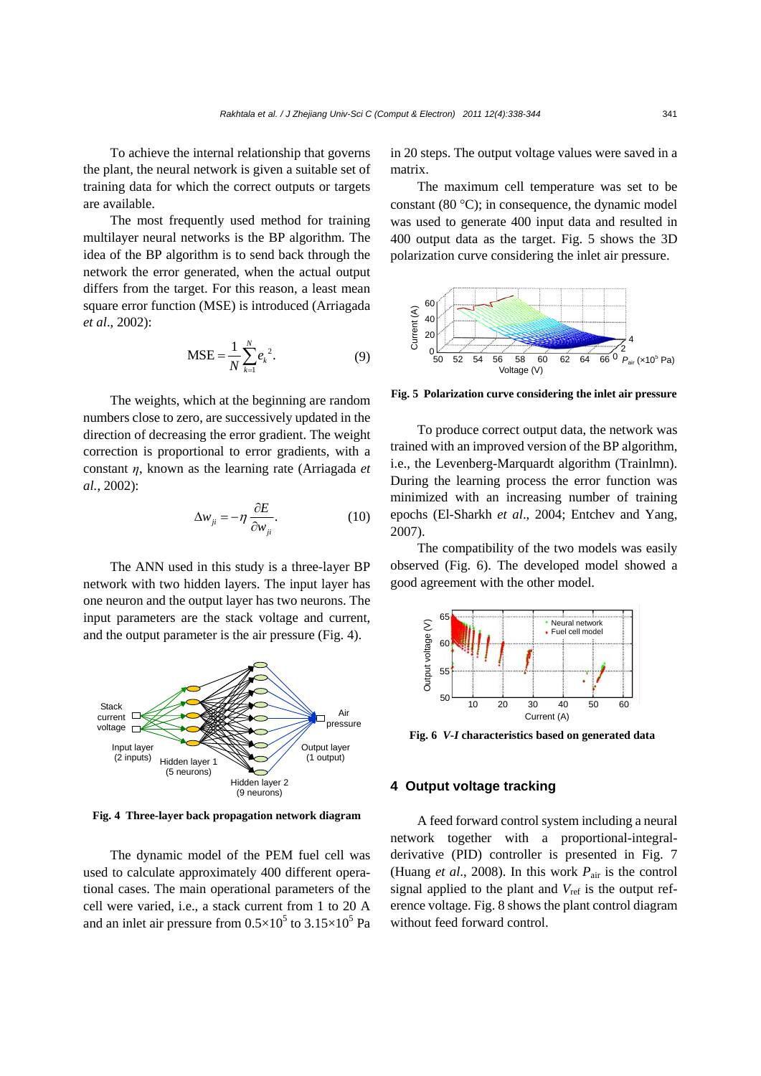To achieve the internal relationship that governs the plant, the neural network is given a suitable set of training data for which the correct outputs or targets are available.

The most frequently used method for training multilayer neural networks is the BP algorithm. The idea of the BP algorithm is to send back through the network the error generated, when the actual output differs from the target. For this reason, a least mean square error function (MSE) is introduced (Arriagada *et al*., 2002):

$$
MSE = \frac{1}{N} \sum_{k=1}^{N} e_k^{2}.
$$
 (9)

The weights, which at the beginning are random numbers close to zero, are successively updated in the direction of decreasing the error gradient. The weight correction is proportional to error gradients, with a constant *η*, known as the learning rate (Arriagada *et al.*, 2002):

$$
\Delta w_{ji} = -\eta \frac{\partial E}{\partial w_{ji}}.\tag{10}
$$

The ANN used in this study is a three-layer BP network with two hidden layers. The input layer has one neuron and the output layer has two neurons. The input parameters are the stack voltage and current, and the output parameter is the air pressure (Fig. 4).



**Fig. 4 Three-layer back propagation network diagram**

The dynamic model of the PEM fuel cell was used to calculate approximately 400 different operational cases. The main operational parameters of the cell were varied, i.e., a stack current from 1 to 20 A and an inlet air pressure from  $0.5 \times 10^5$  to  $3.15 \times 10^5$  Pa in 20 steps. The output voltage values were saved in a matrix.

The maximum cell temperature was set to be constant (80 °C); in consequence, the dynamic model was used to generate 400 input data and resulted in 400 output data as the target. Fig. 5 shows the 3D polarization curve considering the inlet air pressure.



**Fig. 5 Polarization curve considering the inlet air pressure**

To produce correct output data, the network was trained with an improved version of the BP algorithm, i.e., the Levenberg-Marquardt algorithm (Trainlmn). During the learning process the error function was minimized with an increasing number of training epochs (El-Sharkh *et al*., 2004; Entchev and Yang, 2007).

The compatibility of the two models was easily observed (Fig. 6). The developed model showed a good agreement with the other model.



**Fig. 6** *V***-***I* **characteristics based on generated data**

#### **4 Output voltage tracking**

A feed forward control system including a neural network together with a proportional-integralderivative (PID) controller is presented in Fig. 7 (Huang *et al*., 2008). In this work *P*air is the control signal applied to the plant and  $V_{ref}$  is the output reference voltage. Fig. 8 shows the plant control diagram without feed forward control.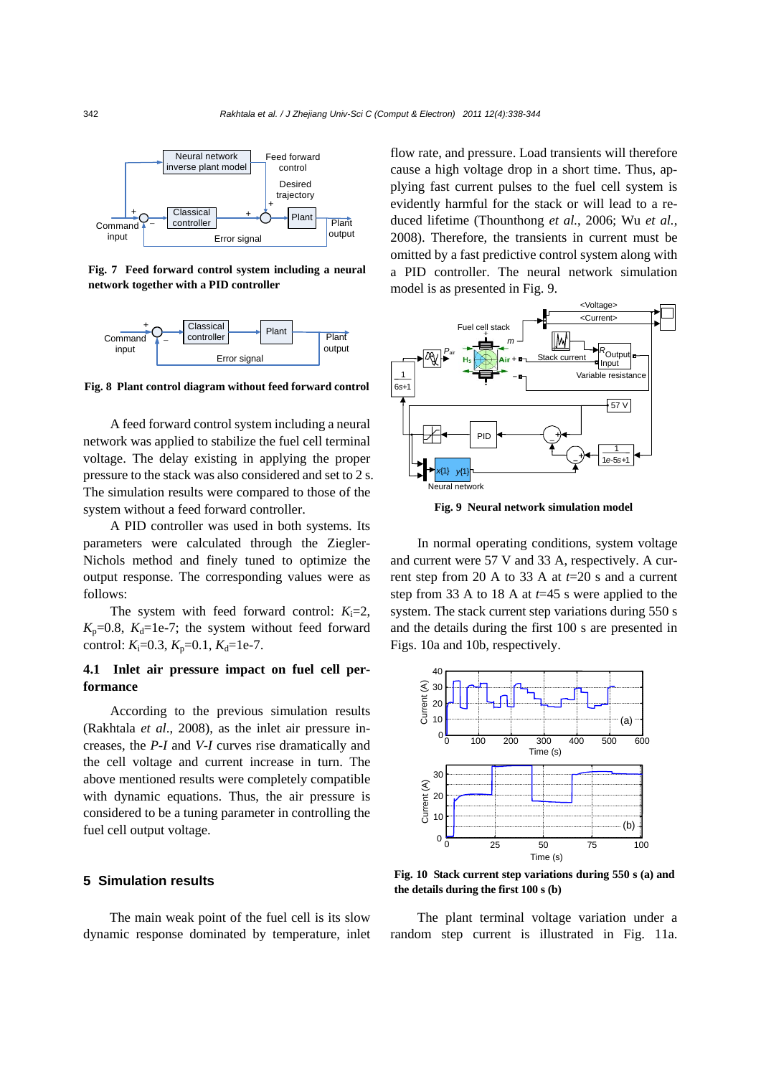

**Fig. 7 Feed forward control system including a neural network together with a PID controller** 



**Fig. 8 Plant control diagram without feed forward control**

A feed forward control system including a neural network was applied to stabilize the fuel cell terminal voltage. The delay existing in applying the proper pressure to the stack was also considered and set to 2 s. The simulation results were compared to those of the system without a feed forward controller.

A PID controller was used in both systems. Its parameters were calculated through the Ziegler-Nichols method and finely tuned to optimize the output response. The corresponding values were as follows:

The system with feed forward control:  $K_i=2$ ,  $K_p=0.8$ ,  $K_d=1e-7$ ; the system without feed forward control:  $K_i=0.3$ ,  $K_p=0.1$ ,  $K_d=1e-7$ .

#### **4.1 Inlet air pressure impact on fuel cell performance**

According to the previous simulation results (Rakhtala *et al*., 2008), as the inlet air pressure increases, the *P*-*I* and *V*-*I* curves rise dramatically and the cell voltage and current increase in turn. The above mentioned results were completely compatible with dynamic equations. Thus, the air pressure is considered to be a tuning parameter in controlling the fuel cell output voltage.

#### **5 Simulation results**

The main weak point of the fuel cell is its slow dynamic response dominated by temperature, inlet flow rate, and pressure. Load transients will therefore cause a high voltage drop in a short time. Thus, applying fast current pulses to the fuel cell system is evidently harmful for the stack or will lead to a reduced lifetime (Thounthong *et al.*, 2006; Wu *et al.*, 2008). Therefore, the transients in current must be omitted by a fast predictive control system along with a PID controller. The neural network simulation model is as presented in Fig. 9.



**Fig. 9 Neural network simulation model** 

In normal operating conditions, system voltage and current were 57 V and 33 A, respectively. A current step from 20 A to 33 A at *t*=20 s and a current step from 33 A to 18 A at *t*=45 s were applied to the system. The stack current step variations during 550 s and the details during the first 100 s are presented in Figs. 10a and 10b, respectively.



**Fig. 10 Stack current step variations during 550 s (a) and the details during the first 100 s (b)**

The plant terminal voltage variation under a random step current is illustrated in Fig. 11a.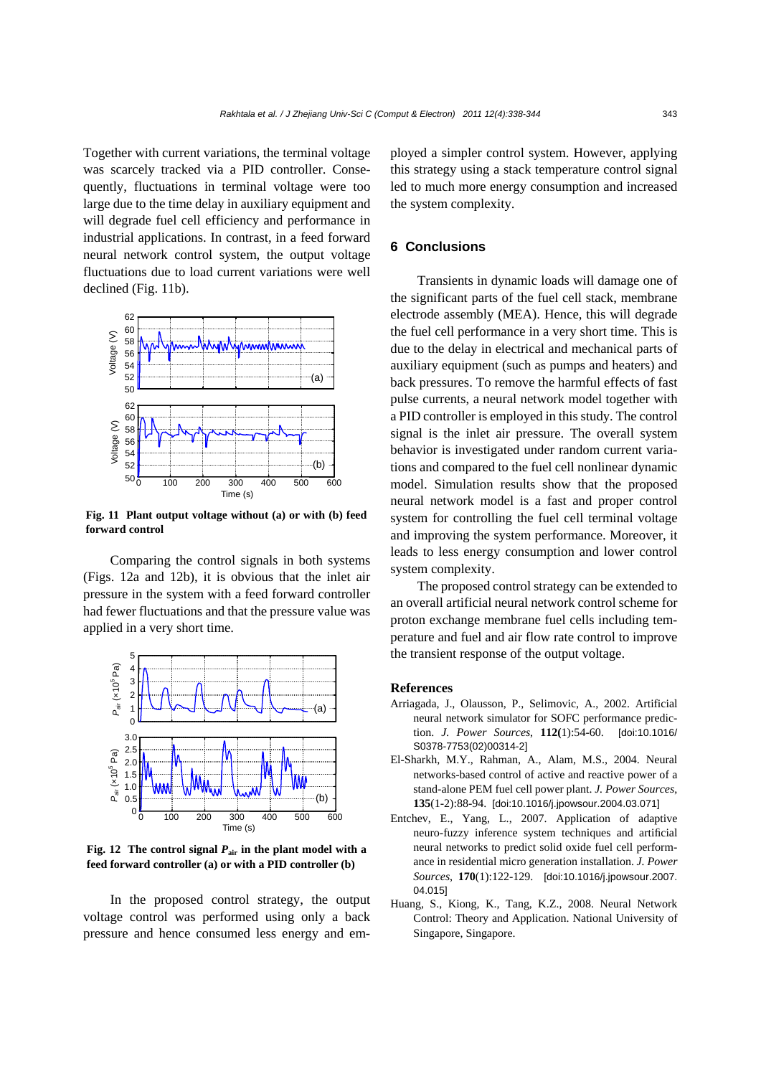Together with current variations, the terminal voltage was scarcely tracked via a PID controller. Consequently, fluctuations in terminal voltage were too large due to the time delay in auxiliary equipment and will degrade fuel cell efficiency and performance in industrial applications. In contrast, in a feed forward neural network control system, the output voltage fluctuations due to load current variations were well declined (Fig. 11b).



**Fig. 11 Plant output voltage without (a) or with (b) feed forward control**

Comparing the control signals in both systems (Figs. 12a and 12b), it is obvious that the inlet air pressure in the system with a feed forward controller had fewer fluctuations and that the pressure value was applied in a very short time.



**Fig. 12** The control signal  $P_{\text{air}}$  in the plant model with a **feed forward controller (a) or with a PID controller (b)**

In the proposed control strategy, the output voltage control was performed using only a back pressure and hence consumed less energy and employed a simpler control system. However, applying this strategy using a stack temperature control signal led to much more energy consumption and increased the system complexity.

### **6 Conclusions**

Transients in dynamic loads will damage one of the significant parts of the fuel cell stack, membrane electrode assembly (MEA). Hence, this will degrade the fuel cell performance in a very short time. This is due to the delay in electrical and mechanical parts of auxiliary equipment (such as pumps and heaters) and back pressures. To remove the harmful effects of fast pulse currents, a neural network model together with a PID controller is employed in this study. The control signal is the inlet air pressure. The overall system behavior is investigated under random current variations and compared to the fuel cell nonlinear dynamic model. Simulation results show that the proposed neural network model is a fast and proper control system for controlling the fuel cell terminal voltage and improving the system performance. Moreover, it leads to less energy consumption and lower control system complexity.

The proposed control strategy can be extended to an overall artificial neural network control scheme for proton exchange membrane fuel cells including temperature and fuel and air flow rate control to improve the transient response of the output voltage.

#### **References**

- Arriagada, J., Olausson, P., Selimovic, A., 2002. Artificial neural network simulator for SOFC performance prediction. *J. Power Sources*, **112(**1):54-60. [doi:10.1016/ S0378-7753(02)00314-2]
- El-Sharkh, M.Y., Rahman, A., Alam, M.S., 2004. Neural networks-based control of active and reactive power of a stand-alone PEM fuel cell power plant. *J. Power Sources*, **135**(1-2):88-94. [doi:10.1016/j.jpowsour.2004.03.071]
- Entchev, E., Yang, L., 2007. Application of adaptive neuro-fuzzy inference system techniques and artificial neural networks to predict solid oxide fuel cell performance in residential micro generation installation. *J. Power Sources*, **170**(1):122-129. [doi:10.1016/j.jpowsour.2007. 04.015]
- Huang, S., Kiong, K., Tang, K.Z., 2008. Neural Network Control: Theory and Application. National University of Singapore, Singapore.